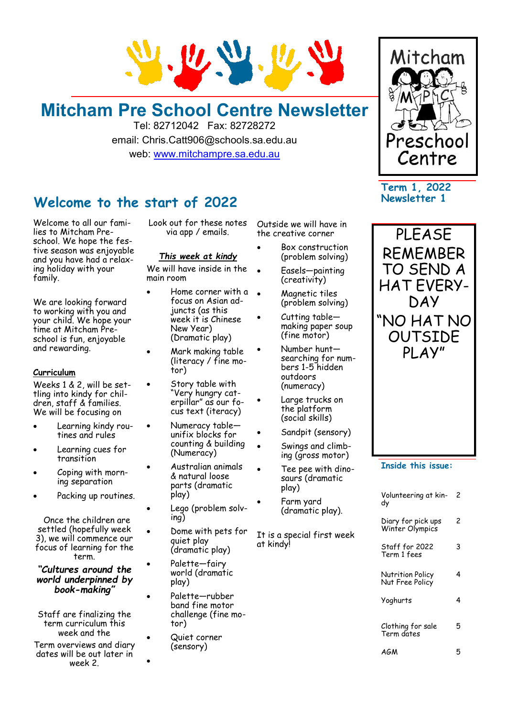

## **Mitcham Pre School Centre Newsletter**

Tel: 82712042 Fax: 82728272 email: Chris.Catt906@schools.sa.edu.au web: [www.mitchampre.sa.edu.au](http://www.mitchampre.sa.edu.au/) 

### **Welcome to the start of 2022**

Welcome to all our families to Mitcham Preschool. We hope the festive season was enjoyable and you have had a relaxing holiday with your family.

We are looking forward to working with you and your child. We hope your time at Mitcham Preschool is fun, enjoyable and rewarding.

### **Curriculum**

Weeks 1 & 2, will be settling into kindy for children, staff & families. We will be focusing on

- Learning kindy routines and rules
- Learning cues for transition
- Coping with morning separation
- Packing up routines.

 Once the children are settled (hopefully week 3), we will commence our focus of learning for the term.

*"Cultures around the world underpinned by book-making"* 

Staff are finalizing the term curriculum this week and the

Term overviews and diary dates will be out later in week 2.

Look out for these notes via app / emails.

### *This week at kindy*

We will have inside in the main room

- Home corner with a focus on Asian adjuncts (as this week it is Chinese New Year) (Dramatic play)
- Mark making table (literacy / fine motor)
- Story table with "Very hungry caterpillar" as our focus text (iteracy)
- Numeracy table unifix blocks for counting & building (Numeracy)
- Australian animals & natural loose parts (dramatic play)
- Lego (problem solving)
- Dome with pets for quiet play (dramatic play)
- Palette—fairy world (dramatic play)
- Palette—rubber band fine motor challenge (fine motor)
- Quiet corner (sensory)

•

Outside we will have in the creative corner

- Box construction (problem solving)
- Easels—painting (creativity)
- Magnetic tiles (problem solving)
- Cutting table making paper soup (fine motor)
- Number huntsearching for numbers 1-5 hidden outdoors (numeracy)
- Large trucks on the platform (social skills)
- Sandpit (sensory)
- Swings and climbing (gross motor)
- Tee pee with dinosaurs (dramatic play)
- Farm yard (dramatic play).

It is a special first week at kindy!



**Term 1, 2022 Newsletter 1**



### **Inside this issue:**

| Volunteering at kin-<br>dy            | 2 |
|---------------------------------------|---|
| Diary for pick ups<br>Winter Olympics | 2 |
| Staff for 2022<br>Term 1 fees         | 3 |
| Nutrition Policy<br>Nut Free Policy   | 4 |
| Yoghurts                              | 4 |
| Clothing for sale<br>Term dates       | 5 |
| AGM                                   |   |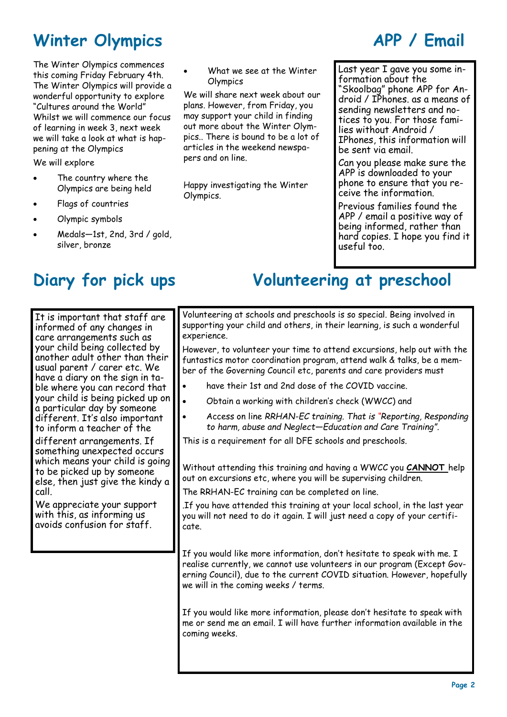## **Winter Olympics APP / Email**

The Winter Olympics commences this coming Friday February 4th. The Winter Olympics will provide a wonderful opportunity to explore "Cultures around the World" Whilst we will commence our focus of learning in week 3, next week we will take a look at what is happening at the Olympics We will explore

- The country where the Olympics are being held
- Flags of countries
- Olympic symbols
- Medals—1st, 2nd, 3rd / gold, silver, bronze

It is important that staff are informed of any changes in care arrangements such as your child being collected by another adult other than their usual parent / carer etc. We have a diary on the sign in table where you can record that your child is being picked up on a particular day by someone different. It's also important to inform a teacher of the

different arrangements. If something unexpected occurs which means your child is going to be picked up by someone else, then just give the kindy a call.

We appreciate your support with this, as informing us avoids confusion for staff.

• What we see at the Winter **Olympics** 

We will share next week about our plans. However, from Friday, you may support your child in finding out more about the Winter Olympics.. There is bound to be a lot of articles in the weekend newspapers and on line.

Happy investigating the Winter Olympics.

Last year I gave you some information about the "Skoolbag" phone APP for Android / IPhones. as a means of sending newsletters and notices to you. For those families without Android / IPhones, this information will be sent via email.

Can you please make sure the APP is downloaded to your phone to ensure that you receive the information.

Previous families found the APP / email a positive way of being informed, rather than hard copies. I hope you find it useful too.

## **Diary for pick ups Volunteering at preschool**

Volunteering at schools and preschools is so special. Being involved in supporting your child and others, in their learning, is such a wonderful experience.

However, to volunteer your time to attend excursions, help out with the funtastics motor coordination program, attend walk & talks, be a member of the Governing Council etc, parents and care providers must

- have their 1st and 2nd dose of the COVID vaccine.
- Obtain a working with children's check (WWCC) and
- Access on line *RRHAN-EC training. That is "Reporting, Responding to harm, abuse and Neglect—Education and Care Training".*

This is a requirement for all DFE schools and preschools.

Without attending this training and having a WWCC you **CANNOT** help out on excursions etc, where you will be supervising children.

The RRHAN-EC training can be completed on line.

.If you have attended this training at your local school, in the last year you will not need to do it again. I will just need a copy of your certificate.

If you would like more information, don't hesitate to speak with me. I realise currently, we cannot use volunteers in our program (Except Governing Council), due to the current COVID situation. However, hopefully we will in the coming weeks / terms.

If you would like more information, please don't hesitate to speak with me or send me an email. I will have further information available in the coming weeks.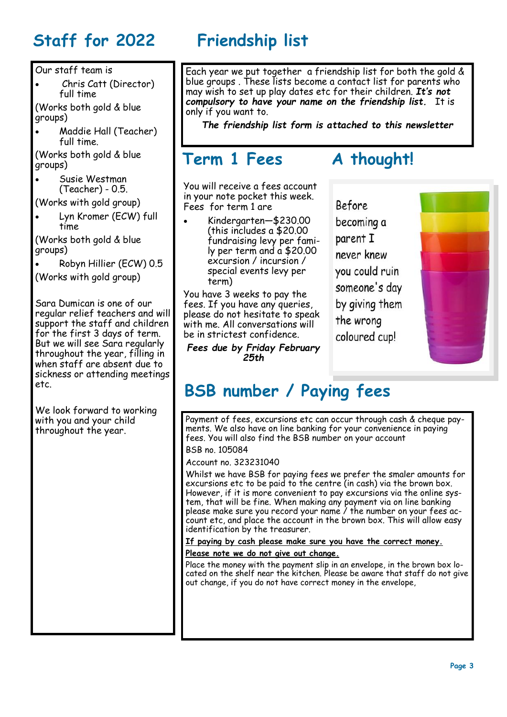# **Staff for 2022 Friendship list**

Our staff team is

• Chris Catt (Director) full time

(Works both gold & blue groups)

• Maddie Hall (Teacher) full time.

(Works both gold & blue groups)

• Susie Westman (Teacher) - 0.5.

(Works with gold group)

• Lyn Kromer (ECW) full time

(Works both gold & blue groups)

• Robyn Hillier (ECW) 0.5

(Works with gold group)

Sara Dumican is one of our regular relief teachers and will support the staff and children for the first 3 days of term. But we will see Sara regularly throughout the year, filling in when staff are absent due to sickness or attending meetings etc.

We look forward to working with you and your child throughout the year.

Each year we put together a friendship list for both the gold & blue groups . These lists become a contact list for parents who may wish to set up play dates etc for their children. *It's not compulsory to have your name on the friendship list.* It is only if you want to.

*The friendship list form is attached to this newsletter*

## **Term 1 Fees A thought!**

You will receive a fees account in your note pocket this week. Fees for term 1 are

• Kindergarten—\$230.00 (this includes a \$20.00 fundraising levy per family per term and a \$20.00 excursion / incursion / special events levy per term)

You have 3 weeks to pay the fees. If you have any queries, please do not hesitate to speak with me. All conversations will be in strictest confidence.

*Fees due by Friday February 25th*

**Before** becoming a parent I never knew you could ruin someone's day by giving them the wrong coloured cup!



# **BSB number / Paying fees**

Payment of fees, excursions etc can occur through cash & cheque payments. We also have on line banking for your convenience in paying fees. You will also find the BSB number on your account

BSB no. 105084

Account no. 323231040

Whilst we have BSB for paying fees we prefer the smaler amounts for excursions etc to be paid to the centre (in cash) via the brown box. However, if it is more convenient to pay excursions via the online system, that will be fine. When making any payment via on line banking please make sure you record your name / the number on your fees account etc, and place the account in the brown box. This will allow easy identification by the treasurer.

**If paying by cash please make sure you have the correct money.** 

### **Please note we do not give out change.**

Place the money with the payment slip in an envelope, in the brown box located on the shelf near the kitchen. Please be aware that staff do not give out change, if you do not have correct money in the envelope,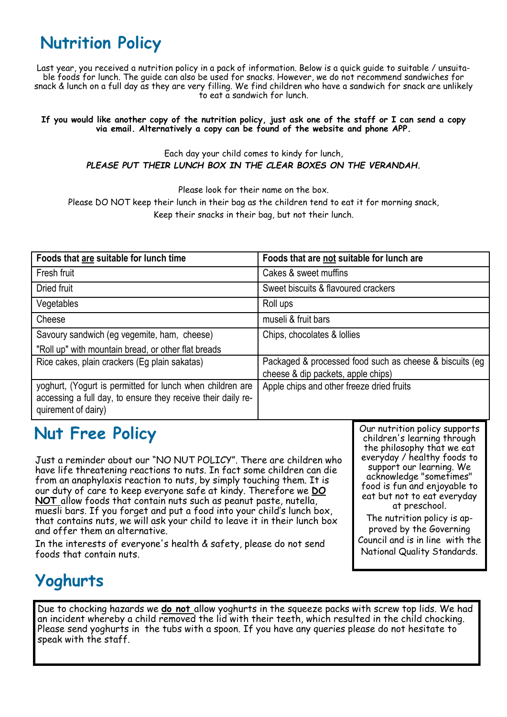# **Nutrition Policy**

Last year, you received a nutrition policy in a pack of information. Below is a quick guide to suitable / unsuitable foods for lunch. The guide can also be used for snacks. However, we do not recommend sandwiches for snack & lunch on a full day as they are very filling. We find children who have a sandwich for snack are unlikely to eat a sandwich for lunch.

### **If you would like another copy of the nutrition policy, just ask one of the staff or I can send a copy via email. Alternatively a copy can be found of the website and phone APP.**

Each day your child comes to kindy for lunch, *PLEASE PUT THEIR LUNCH BOX IN THE CLEAR BOXES ON THE VERANDAH.*

Please look for their name on the box.

Please DO NOT keep their lunch in their bag as the children tend to eat it for morning snack, Keep their snacks in their bag, but not their lunch.

| Foods that are suitable for lunch time                                                                                                           | Foods that are not suitable for lunch are                                                      |
|--------------------------------------------------------------------------------------------------------------------------------------------------|------------------------------------------------------------------------------------------------|
| Fresh fruit                                                                                                                                      | Cakes & sweet muffins                                                                          |
| Dried fruit                                                                                                                                      | Sweet biscuits & flavoured crackers                                                            |
| Vegetables                                                                                                                                       | Roll ups                                                                                       |
| Cheese                                                                                                                                           | museli & fruit bars                                                                            |
| Savoury sandwich (eg vegemite, ham, cheese)                                                                                                      | Chips, chocolates & Iollies                                                                    |
| "Roll up" with mountain bread, or other flat breads                                                                                              |                                                                                                |
| Rice cakes, plain crackers (Eg plain sakatas)                                                                                                    | Packaged & processed food such as cheese & biscuits (eg)<br>cheese & dip packets, apple chips) |
| yoghurt, (Yogurt is permitted for lunch when children are<br>accessing a full day, to ensure they receive their daily re-<br>quirement of dairy) | Apple chips and other freeze dried fruits                                                      |

## **Nut Free Policy**

Just a reminder about our "NO NUT POLICY". There are children who have life threatening reactions to nuts. In fact some children can die from an anaphylaxis reaction to nuts, by simply touching them. It is our duty of care to keep everyone safe at kindy. Therefore we **DO NOT** allow foods that contain nuts such as peanut paste, nutella, muesli bars. If you forget and put a food into your child's lunch box, that contains nuts, we will ask your child to leave it in their lunch box and offer them an alternative.

In the interests of everyone's health & safety, please do not send foods that contain nuts.

Our nutrition policy supports children's learning through the philosophy that we eat everyday / healthy foods to support our learning. We acknowledge "sometimes" food is fun and enjoyable to eat but not to eat everyday at preschool.

The nutrition policy is approved by the Governing Council and is in line with the National Quality Standards.

# **Yoghurts**

Due to chocking hazards we **do not** allow yoghurts in the squeeze packs with screw top lids. We had an incident whereby a child removed the lid with their teeth, which resulted in the child chocking. Please send yoghurts in the tubs with a spoon. If you have any queries please do not hesitate to speak with the staff.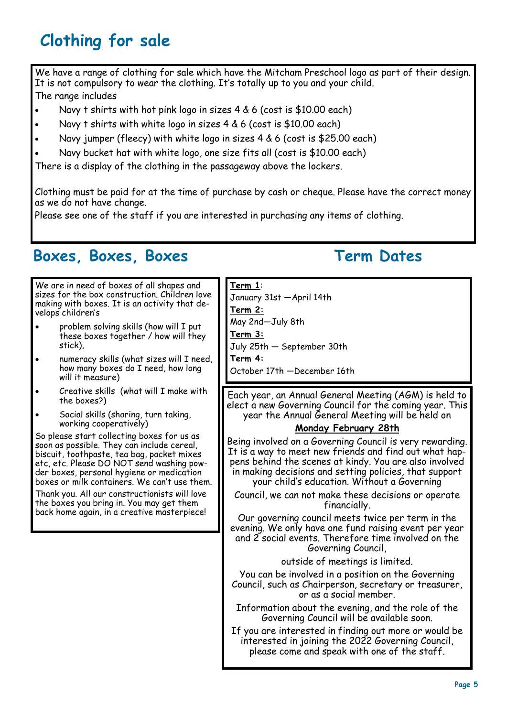# **Clothing for sale**

We have a range of clothing for sale which have the Mitcham Preschool logo as part of their design. It is not compulsory to wear the clothing. It's totally up to you and your child. The range includes

- Navy t shirts with hot pink logo in sizes 4 & 6 (cost is \$10.00 each)
- Navy t shirts with white logo in sizes 4 & 6 (cost is \$10.00 each)
- Navy jumper (fleecy) with white logo in sizes 4 & 6 (cost is \$25.00 each)
- Navy bucket hat with white logo, one size fits all (cost is \$10.00 each)

There is a display of the clothing in the passageway above the lockers.

Clothing must be paid for at the time of purchase by cash or cheque. Please have the correct money as we do not have change.

Please see one of the staff if you are interested in purchasing any items of clothing.

### **Boxes, Boxes, Boxes Term Dates**

### We are in need of boxes of all shapes and sizes for the box construction. Children love making with boxes. It is an activity that develops children's • problem solving skills (how will I put these boxes together / how will they stick), • numeracy skills (what sizes will I need, how many boxes do I need, how long will it measure) • Creative skills (what will I make with the boxes?) • Social skills (sharing, turn taking, working cooperatively) So please start collecting boxes for us as soon as possible. They can include cereal, biscuit, toothpaste, tea bag, packet mixes etc, etc. Please DO NOT send washing powder boxes, personal hygiene or medication boxes or milk containers. We can't use them. Thank you. All our constructionists will love the boxes you bring in. You may get them back home again, in a creative masterpiece! **Term 1**: January 31st —April 14th **Term 2:** May 2nd—July 8th **Term 3:** July 25th — September 30th **Term 4:**  October 17th —December 16th Each year, an Annual General Meeting (AGM) is held to elect a new Governing Council for the coming year. This year the Annual General Meeting will be held on **Monday February 28th** Being involved on a Governing Council is very rewarding. It is a way to meet new friends and find out what happens behind the scenes at kindy. You are also involved in making decisions and setting policies, that support your child's education. Without a Governing Council, we can not make these decisions or operate financially. Our governing council meets twice per term in the evening. We only have one fund raising event per year and 2 social events. Therefore time involved on the Governing Council, outside of meetings is limited. You can be involved in a position on the Governing Council, such as Chairperson, secretary or treasurer, or as a social member. Information about the evening, and the role of the Governing Council will be available soon. If you are interested in finding out more or would be interested in joining the 2022 Governing Council, please come and speak with one of the staff.

**Page 5**